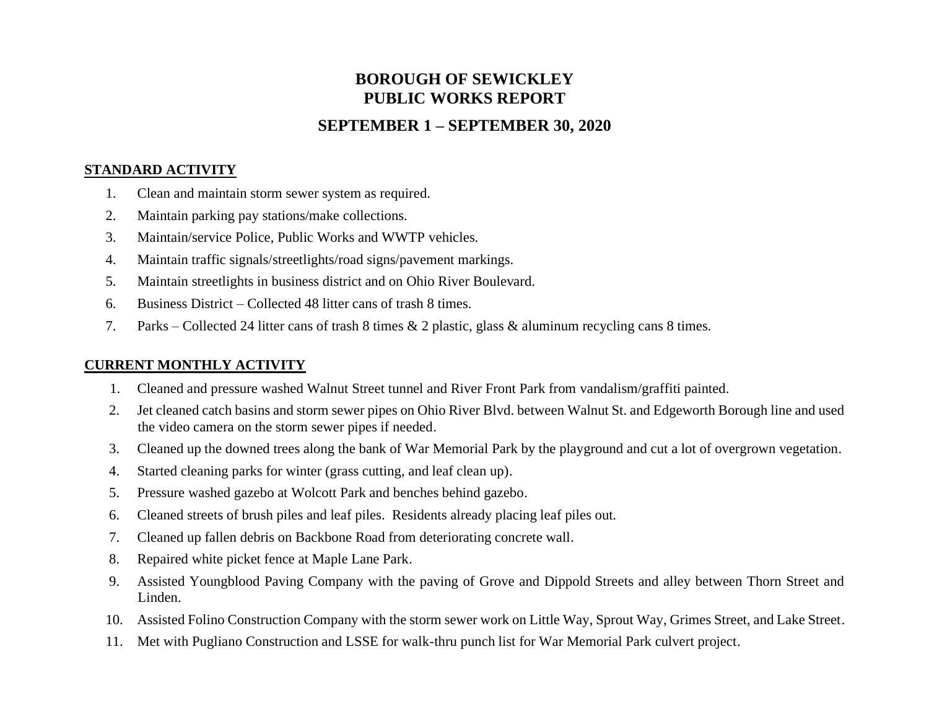# **BOROUGH OF SEWICKLEY PUBLIC WORKS REPORT**

# **SEPTEMBER 1 – SEPTEMBER 30, 2020**

#### **STANDARD ACTIVITY**

- 1. Clean and maintain storm sewer system as required.
- 2. Maintain parking pay stations/make collections.
- 3. Maintain/service Police, Public Works and WWTP vehicles.
- 4. Maintain traffic signals/streetlights/road signs/pavement markings.
- 5. Maintain streetlights in business district and on Ohio River Boulevard.
- 6. Business District Collected 48 litter cans of trash 8 times.
- 7. Parks Collected 24 litter cans of trash 8 times & 2 plastic, glass & aluminum recycling cans 8 times.

#### **CURRENT MONTHLY ACTIVITY**

- 1. Cleaned and pressure washed Walnut Street tunnel and River Front Park from vandalism/graffiti painted.
- 2. Jet cleaned catch basins and storm sewer pipes on Ohio River Blvd. between Walnut St. and Edgeworth Borough line and used the video camera on the storm sewer pipes if needed.
- 3. Cleaned up the downed trees along the bank of War Memorial Park by the playground and cut a lot of overgrown vegetation.
- 4. Started cleaning parks for winter (grass cutting, and leaf clean up).
- 5. Pressure washed gazebo at Wolcott Park and benches behind gazebo.
- 6. Cleaned streets of brush piles and leaf piles. Residents already placing leaf piles out.
- 7. Cleaned up fallen debris on Backbone Road from deteriorating concrete wall.
- 8. Repaired white picket fence at Maple Lane Park.
- 9. Assisted Youngblood Paving Company with the paving of Grove and Dippold Streets and alley between Thorn Street and Linden.
- 10. Assisted Folino Construction Company with the storm sewer work on Little Way, Sprout Way, Grimes Street, and Lake Street.
- 11. Met with Pugliano Construction and LSSE for walk-thru punch list for War Memorial Park culvert project.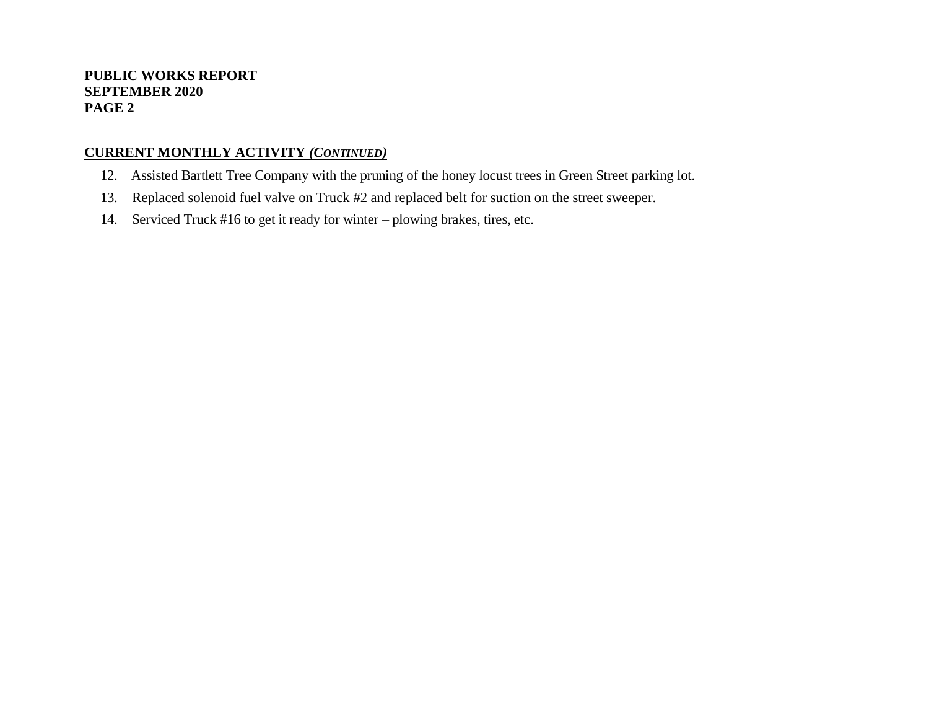#### **PUBLIC WORKS REPORT SEPTEMBER 2020 PAGE 2**

### **CURRENT MONTHLY ACTIVITY** *(CONTINUED)*

- 12. Assisted Bartlett Tree Company with the pruning of the honey locust trees in Green Street parking lot.
- 13. Replaced solenoid fuel valve on Truck #2 and replaced belt for suction on the street sweeper.
- 14. Serviced Truck #16 to get it ready for winter plowing brakes, tires, etc.